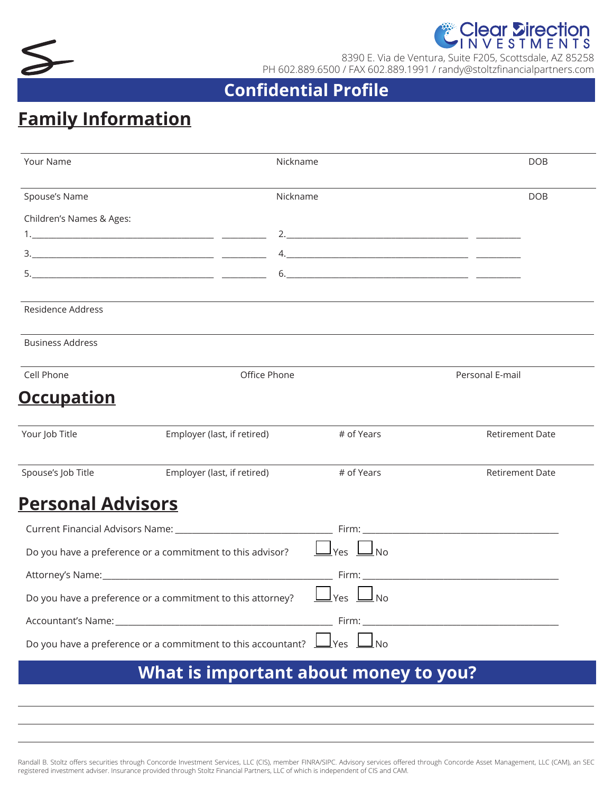



8390 E. Via de Ventura, Suite F205, Scottsdale, AZ 85258 PH 602.889.6500 / FAX 602.889.1991 / randy@stoltzfinancialpartners.com

## **Confidential Profile**

## **Family Information**

| Your Name                | Nickname                                                                          |             | <b>DOB</b>                                                                                                                                                                                                                    |
|--------------------------|-----------------------------------------------------------------------------------|-------------|-------------------------------------------------------------------------------------------------------------------------------------------------------------------------------------------------------------------------------|
| Spouse's Name            |                                                                                   | Nickname    |                                                                                                                                                                                                                               |
| Children's Names & Ages: |                                                                                   |             |                                                                                                                                                                                                                               |
|                          |                                                                                   |             |                                                                                                                                                                                                                               |
|                          |                                                                                   |             |                                                                                                                                                                                                                               |
|                          |                                                                                   |             |                                                                                                                                                                                                                               |
| Residence Address        |                                                                                   |             |                                                                                                                                                                                                                               |
| <b>Business Address</b>  |                                                                                   |             |                                                                                                                                                                                                                               |
| Cell Phone               | Office Phone                                                                      |             | Personal E-mail                                                                                                                                                                                                               |
| <u>Occupation</u>        |                                                                                   |             |                                                                                                                                                                                                                               |
| Your Job Title           | Employer (last, if retired)                                                       | # of Years  | <b>Retirement Date</b>                                                                                                                                                                                                        |
| Spouse's Job Title       | Employer (last, if retired)                                                       | # of Years  | <b>Retirement Date</b>                                                                                                                                                                                                        |
| <u>Personal Advisors</u> |                                                                                   |             |                                                                                                                                                                                                                               |
|                          |                                                                                   |             |                                                                                                                                                                                                                               |
|                          | Do you have a preference or a commitment to this advisor?                         | Yes<br>l No |                                                                                                                                                                                                                               |
|                          |                                                                                   |             | Firm: Executive Company of the Company of the Company of the Company of the Company of the Company of the Company of the Company of the Company of the Company of the Company of the Company of the Company of the Company of |
|                          | Do you have a preference or a commitment to this attorney? $\Box$ Yes $\Box$ No   |             |                                                                                                                                                                                                                               |
|                          |                                                                                   |             |                                                                                                                                                                                                                               |
|                          | Do you have a preference or a commitment to this accountant? $\Box$ Yes $\Box$ No |             |                                                                                                                                                                                                                               |
|                          | What is important about money to you?                                             |             |                                                                                                                                                                                                                               |
|                          |                                                                                   |             |                                                                                                                                                                                                                               |

Randall B. Stoltz offers securities through Concorde Investment Services, LLC (CIS), member FINRA/SIPC. Advisory services offered through Concorde Asset Management, LLC (CAM), an SEC registered investment adviser. Insurance provided through Stoltz Financial Partners, LLC of which is independent of CIS and CAM.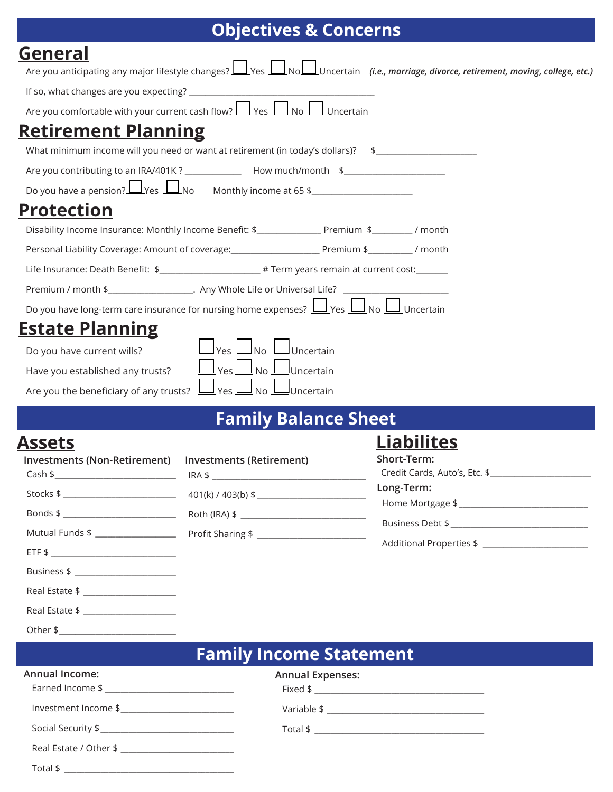# **Objectives & Concerns**

| <b>General</b>                                                                                                                                                                                                                  |                                                                                                       |                                                                                                                                                   |  |  |  |  |
|---------------------------------------------------------------------------------------------------------------------------------------------------------------------------------------------------------------------------------|-------------------------------------------------------------------------------------------------------|---------------------------------------------------------------------------------------------------------------------------------------------------|--|--|--|--|
|                                                                                                                                                                                                                                 |                                                                                                       | Are you anticipating any major lifestyle changes? <u>Let yes</u> Latin of Luncertain (i.e., marriage, divorce, retirement, moving, college, etc.) |  |  |  |  |
|                                                                                                                                                                                                                                 |                                                                                                       |                                                                                                                                                   |  |  |  |  |
|                                                                                                                                                                                                                                 | Are you comfortable with your current cash flow? <u>I Yes II</u> No II Uncertain                      |                                                                                                                                                   |  |  |  |  |
| <b>Retirement Planning</b>                                                                                                                                                                                                      |                                                                                                       |                                                                                                                                                   |  |  |  |  |
|                                                                                                                                                                                                                                 | What minimum income will you need or want at retirement (in today's dollars)? \$                      |                                                                                                                                                   |  |  |  |  |
|                                                                                                                                                                                                                                 | Are you contributing to an IRA/401K ? ________________ How much/month \$____________________________  |                                                                                                                                                   |  |  |  |  |
|                                                                                                                                                                                                                                 | Do you have a pension? $\Box$ Yes $\Box$ No Monthly income at 65 \$                                   |                                                                                                                                                   |  |  |  |  |
| <b>Protection</b>                                                                                                                                                                                                               |                                                                                                       |                                                                                                                                                   |  |  |  |  |
|                                                                                                                                                                                                                                 |                                                                                                       |                                                                                                                                                   |  |  |  |  |
|                                                                                                                                                                                                                                 |                                                                                                       |                                                                                                                                                   |  |  |  |  |
|                                                                                                                                                                                                                                 | Life Insurance: Death Benefit: \$____________________# Term years remain at current cost:______       |                                                                                                                                                   |  |  |  |  |
|                                                                                                                                                                                                                                 | Premium / month \$______________________. Any Whole Life or Universal Life? ________________________  |                                                                                                                                                   |  |  |  |  |
|                                                                                                                                                                                                                                 | Do you have long-term care insurance for nursing home expenses? $\Box$ Yes $\Box$ No $\Box$ Uncertain |                                                                                                                                                   |  |  |  |  |
| <b>Estate Planning</b>                                                                                                                                                                                                          |                                                                                                       |                                                                                                                                                   |  |  |  |  |
| <u>Lyes</u> Love Luncertain<br>Do you have current wills?<br>$\underline{\mathsf{J}}$ Yes $\underline{\mathsf{L}}$ No $\underline{\mathsf{L}}$ Uncertain<br>Have you established any trusts?                                    |                                                                                                       |                                                                                                                                                   |  |  |  |  |
|                                                                                                                                                                                                                                 |                                                                                                       |                                                                                                                                                   |  |  |  |  |
|                                                                                                                                                                                                                                 |                                                                                                       |                                                                                                                                                   |  |  |  |  |
|                                                                                                                                                                                                                                 | <b>Family Balance Sheet</b>                                                                           |                                                                                                                                                   |  |  |  |  |
| <b>Assets</b>                                                                                                                                                                                                                   |                                                                                                       | <b>Liabilites</b><br>Short-Term:                                                                                                                  |  |  |  |  |
| Investments (Non-Retirement)  Investments (Retirement)                                                                                                                                                                          |                                                                                                       | Credit Cards, Auto's, Etc. \$                                                                                                                     |  |  |  |  |
|                                                                                                                                                                                                                                 | 401(k) / 403(b) \$                                                                                    | Long-Term:                                                                                                                                        |  |  |  |  |
|                                                                                                                                                                                                                                 |                                                                                                       |                                                                                                                                                   |  |  |  |  |
|                                                                                                                                                                                                                                 |                                                                                                       |                                                                                                                                                   |  |  |  |  |
|                                                                                                                                                                                                                                 |                                                                                                       |                                                                                                                                                   |  |  |  |  |
| Business \$ ________________________                                                                                                                                                                                            |                                                                                                       |                                                                                                                                                   |  |  |  |  |
| Real Estate \$ ______________________                                                                                                                                                                                           |                                                                                                       |                                                                                                                                                   |  |  |  |  |
| Real Estate \$ and the state of the state of the state of the state of the state of the state of the state of the state of the state of the state of the state of the state of the state of the state of the state of the state |                                                                                                       |                                                                                                                                                   |  |  |  |  |
|                                                                                                                                                                                                                                 |                                                                                                       |                                                                                                                                                   |  |  |  |  |
|                                                                                                                                                                                                                                 | <b>Family Income Statement</b>                                                                        |                                                                                                                                                   |  |  |  |  |
| <b>Annual Income:</b>                                                                                                                                                                                                           | <b>Annual Expenses:</b>                                                                               |                                                                                                                                                   |  |  |  |  |
|                                                                                                                                                                                                                                 |                                                                                                       |                                                                                                                                                   |  |  |  |  |
|                                                                                                                                                                                                                                 |                                                                                                       |                                                                                                                                                   |  |  |  |  |
|                                                                                                                                                                                                                                 |                                                                                                       |                                                                                                                                                   |  |  |  |  |

| Real Estate / Other \$ |  |
|------------------------|--|
|                        |  |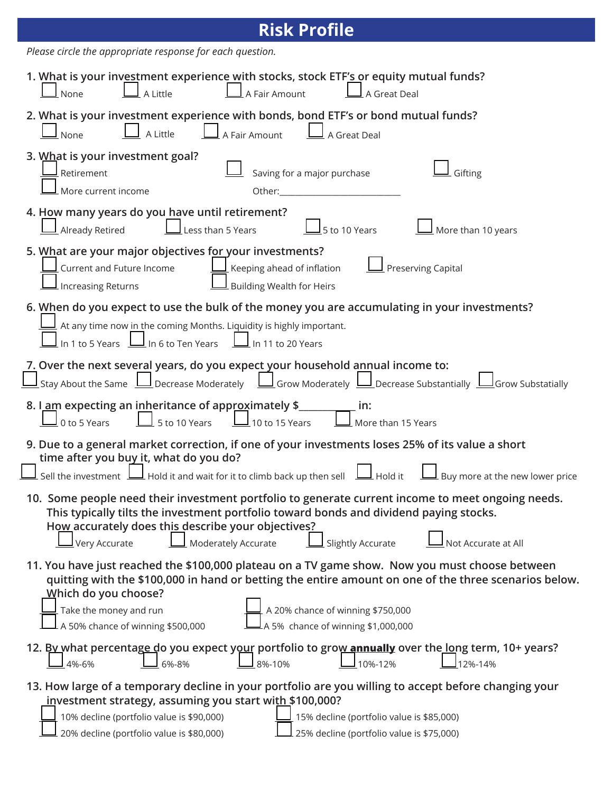| <b>Risk Profile</b>                                                                                                                                                                                                                                                                                                                                                       |  |  |  |  |
|---------------------------------------------------------------------------------------------------------------------------------------------------------------------------------------------------------------------------------------------------------------------------------------------------------------------------------------------------------------------------|--|--|--|--|
| Please circle the appropriate response for each question.                                                                                                                                                                                                                                                                                                                 |  |  |  |  |
| 1. What is your investment experience with stocks, stock ETF's or equity mutual funds?<br>$\perp$ A Fair Amount<br>$\perp$ A Little<br>$\perp$ None<br>A Great Deal                                                                                                                                                                                                       |  |  |  |  |
| 2. What is your investment experience with bonds, bond ETF's or bond mutual funds?<br>A Little<br>None<br>A Fair Amount<br>A Great Deal                                                                                                                                                                                                                                   |  |  |  |  |
| 3. What is your investment goal?<br>Saving for a major purchase<br>Retirement<br>Gifting<br>More current income                                                                                                                                                                                                                                                           |  |  |  |  |
| 4. How many years do you have until retirement?<br>5 to 10 Years<br>More than 10 years<br>Already Retired<br>Less than 5 Years                                                                                                                                                                                                                                            |  |  |  |  |
| 5. What are your major objectives for your investments?<br>Current and Future Income<br>Preserving Capital<br>$\overline{\mathsf{I}}$ Keeping ahead of inflation<br>$\perp$ Building Wealth for Heirs<br>Increasing Returns                                                                                                                                               |  |  |  |  |
| 6. When do you expect to use the bulk of the money you are accumulating in your investments?<br>$\perp$ At any time now in the coming Months. Liquidity is highly important.<br>In 1 to 5 Years $\perp$ In 6 to Ten Years<br>$\perp$ In 11 to 20 Years                                                                                                                    |  |  |  |  |
| 7. Over the next several years, do you expect your household annual income to:<br>$\underline{\sf J}$ Stay About the Same $\bigsqcup$ Decrease Moderately $\bigsqcup$ Grow Moderately $\bigsqcup$ Decrease Substantially $\bigsqcup$ Grow Substatially                                                                                                                    |  |  |  |  |
| 8. I am expecting an inheritance of approximately \$<br>in:<br>5 to 10 Years<br>$\perp$ 10 to 15 Years<br>0 to 5 Years<br>More than 15 Years                                                                                                                                                                                                                              |  |  |  |  |
| 9. Due to a general market correction, if one of your investments loses 25% of its value a short<br>time after you buy it, what do you do?<br>Sell the investment $\Box$ Hold it and wait for it to climb back up then sell $\Box$ Hold it $\Box$ Buy more at the new lower price                                                                                         |  |  |  |  |
| 10. Some people need their investment portfolio to generate current income to meet ongoing needs.<br>This typically tilts the investment portfolio toward bonds and dividend paying stocks.<br>How accurately does this describe your objectives?<br>$\underline{\bigsqcup}$ Very Accurate<br>Moderately Accurate<br>Slightly Accurate<br>Not Accurate at All             |  |  |  |  |
| 11. You have just reached the \$100,000 plateau on a TV game show. Now you must choose between<br>quitting with the \$100,000 in hand or betting the entire amount on one of the three scenarios below.<br>Which do you choose?<br>Take the money and run<br>A 20% chance of winning \$750,000<br>A 5% chance of winning \$1,000,000<br>A 50% chance of winning \$500,000 |  |  |  |  |
| 12. By what percentage do you expect your portfolio to grow annually over the long term, 10+ years?<br>10%-12%<br>8%-10%<br>4%-6%<br>6%-8%<br>12%-14%                                                                                                                                                                                                                     |  |  |  |  |
| 13. How large of a temporary decline in your portfolio are you willing to accept before changing your<br>investment strategy, assuming you start with \$100,000?<br>10% decline (portfolio value is \$90,000)<br>15% decline (portfolio value is \$85,000)<br>25% decline (portfolio value is \$75,000)<br>20% decline (portfolio value is \$80,000)                      |  |  |  |  |